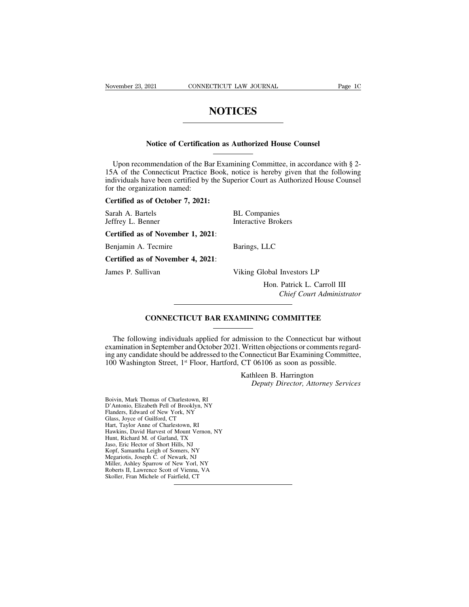## **NOTICES**

# **NOTICES**<br>
Notice of Certification as Authorized House Counsel

NOTICES<br>Notice of Certification as Authorized House Counsel<br>Upon recommendation of the Bar Examining Committee, in accordance with § 2-<br>A of the Connecticut Practice Book, notice is hereby given that the following<br>dividual Notice of Certification as Authorized House Counsel<br>
Upon recommendation of the Bar Examining Committee, in accordance with § 2-<br>
15A of the Connecticut Practice Book, notice is hereby given that the following<br>
individuals Notice of Certification as Authorized House Counsel<br>Upon recommendation of the Bar Examining Committee, in accordance with § 2-<br>15A of the Connecticut Practice Book, notice is hereby given that the following<br>individuals ha Notice of Certificati<br>Upon recommendation of the Ba<br>15A of the Connecticut Practice<br>individuals have been certified by<br>for the organization named:<br>Certified as of October 7, 2021: Fronce of Certified as a<br>
Upon recommendation of the Bar Exam<br>
15A of the Connecticut Practice Book, in<br>
individuals have been certified by the Sup<br>
for the organization named:<br>
Certified as of October 7, 2021:<br>
Sarah A. B Upon recommendation of the Bar Examining Committee, in acc<br>15A of the Connecticut Practice Book, notice is hereby given t<br>individuals have been certified by the Superior Court as Authorize<br>for the organization named:<br>Certi 15A of the Connecticut Practice Book, notice is hereby given that<br>individuals have been certified by the Superior Court as Authorized H<br>for the organization named:<br>**Certified as of October 7, 2021:**<br>Sarah A. Bartels<br>Jeffre individuals have been certified by the Supe<br>for the organization named:<br>**Certified as of October 7, 2021:**<br>Sarah A. Bartels<br>Jeffrey L. Benner<br>**Certified as of November 1, 2021**:<br>Benjamin A. Tecmire F

Certified as of October 7, 2021:<br>
Sarah A. Bartels<br>
Jeffrey L. Benner<br>
Certified as of November 1, 2021:<br>
Benjamin A. Tecmire Barings, LLC<br>
Certified as of November 4, 2021: **Certified as of Secositre 4, 2021:**<br> **Certified as of November 1, 2021:**<br> **Certified as of November 1, 2021:**<br> **Certified as of November 4, 2021:**<br>
James P. Sullivan V

United as of November 1, 2021:<br>
Denjamin A. Tecmire<br>
Certified as of November 4, 2021:<br>
James P. Sullivan Viking Global Investors LP<br>
Hon. Patrick L. Carroll III LLC<br>|obal Investors LP<br>|Hon. Patrick L. Carroll III<br>|Chief Court Administrator *Chief Court Administrator* Viking Global Investors LP<br>
Hon. Patrick L. Carroll III<br>
Chief Court Administrator<br>
CONNECTICUT BAR EXAMINING COMMITTEE

Fract E. Carroll III<br>Chief Court Administrator<br>CONNECTICUT BAR EXAMINING COMMITTEE<br>The following individuals applied for admission to the Connecticut bar without<br>amination in September and October 2021. Written objections CONNECTICUT BAR EXAMINING COMMITTEE<br>
The following individuals applied for admission to the Connecticut bar without<br>
examination in September and October 2021. Written objections or comments regard-<br>
ing any candidate shou **EXAMINING COMMITTEE**<br>
The following individuals applied for admission to the Connecticut bar without<br>
examination in September and October 2021. Written objections or comments regard-<br>
ing any candidate should be addresse **100 CONNECTICUT BAR EXAMINING COMMITTEE**<br>
The following individuals applied for admission to the Connecticut bar with<br>
examination in September and October 2021. Written objections or comments regaing<br>
any candidate shoul WHITTEE<br>
—<br>
mission to the Connecticut bar with<br>
Written objections or comments reg<br>
Connecticut Bar Examining Commi<br>
CT 06106 as soon as possible.<br>
Kathleen B. Harrington<br>
Deputy Director, Attorney Serv Fraison to the Connecticut bar without<br> *Deputy Directions or comments regard-*<br> *Deputy Birector, Attorney Services*<br> *Deputy Director, Attorney Services* ing any candidate should be addressed to the Connecticut Bar Examining Committee,<br>
100 Washington Street, 1<sup>st</sup> Floor, Hartford, CT 06106 as soon as possible.<br>
Kathleen B. Harrington<br> *Deputy Director, Attorney Services*<br>

100 Wasnington Street, 1<sup>\*</sup> Floor, Harttord, C1<br>Kat<br>Boivin, Mark Thomas of Charlestown, RI<br>D'Antonio, Elizabeth Pell of Brooklyn, NY<br>Flanders, Edward of New York, NY<br>Glass, Joyce of Guilford, CT Boivin, Mark Thomas of Charlestown, RI<br>D'Antonio, Elizabeth Pell of Brooklyn, NY<br>Flanders, Edward of New York, NY<br>Glass, Joyce of Guilford, CT<br>Hart, Taylor Anne of Charlestown, RI Boivin, Mark Thomas of Charlestown, RI<br>D'Antonio, Elizabeth Pell of Brooklyn, N'<br>Flanders, Edward of New York, NY<br>Glass, Joyce of Guilford, CT<br>Hart, Taylor Anne of Charlestown, RI<br>Hawkins, David Harvest of Mount Vernon Boivin, Mark Thomas of Charlestown, RI<br>D'Antonio, Elizabeth Pell of Brooklyn, NY<br>Flanders, Edward of New York, NY<br>Glass, Joyce of Guilford, CT<br>Hart, Taylor Anne of Charlestown, RI<br>Hawkins, David Harvest of Mount Vernon, N<br> Boivin, Mark Thomas of Charlestown, RI<br>D'Antonio, Elizabeth Pell of Brooklyn, NY<br>Flanders, Edward of New York, NY<br>Hart, Taylor Anne of Charlestown, RI<br>Hark, Taylor Anne of Charlestown, RI<br>Hawkins, David Harvest of Mount Ve Boivin, Mark Thomas of Charlestown, RI<br>D'Antonio, Elizabeth Pell of Brooklyn, NY<br>Flanders, Edward of New York, NY<br>Glass, Joyce of Guilford, CT<br>Hart, Taylor Anne of Charlestown, RI<br>Hawkins, David Harvest of Mount Vernon, NY BOYum, Mann Finnias Or Cinanessowi, AT<br>D'Antonio, Elizabeth Pell of Brooklyn, NY<br>Flanders, Edward of New York, NY<br>Glass, Joyce of Guilford, CT<br>Hart, Taylor Anne of Charlestown, RI<br>Huut, Richard M. of Garland, TX<br>Jaso, Eric Hart, Taylor Anne of Charlestown, RI<br>Hawkins, David Harvest of Mount Vernor<br>Hunt, Richard M. of Garland, TX<br>Jaso, Eric Hector of Short Hills, NJ<br>Kopf, Samantha Leigh of Somers, NY<br>Megariotis, Joseph C. of Newark, NJ<br>Miller Famours, Euward of New York, NY<br>Glass, Joyce of Guilford, CT<br>Hart, Taylor Anne of Charlestown, RI<br>Hawkins, David Harvest of Mount Vernon, N<br>Hunt, Richard M. of Garland, TX<br>Kopf, Samantha Leigh of Somers, NY<br>Megariotis, Jos Guas, 30yet of Gundestown, RI<br>Hart, Taylor Anne of Charlestown, RI<br>Hawkins, David Harvest of Mount Vernon, NY<br>Hunt, Richard M. of Garland, TX<br>Jaso, Eric Hector of Short Hills, NJ<br>Megariotis, Joseph C. of New Yorl, NJ<br>Mille Hawkins, David Harvest of Mount Vernon, NY<br>Hawkins, David Harvest of Mount Vernon, NY<br>Hunt, Richard M. of Garland, TX<br>Jaso, Eric Hector of Short Hills, NJ<br>Kopf, Samantha Leigh of Somers, NY<br>Megariotis, Joseph C. of Newark, Hunt, Richard M. of Garland, TX<br>Jaso, Eric Hector of Short Hills, NJ<br>Jaso, Eric Hector of Short Hills, NJ<br>Kopf, Samantha Leigh of Somers, NY<br>Megariotis, Joseph C. of Newark, NJ<br>Miller, Ashley Sparrow of New Yorl,<br>Roberts I